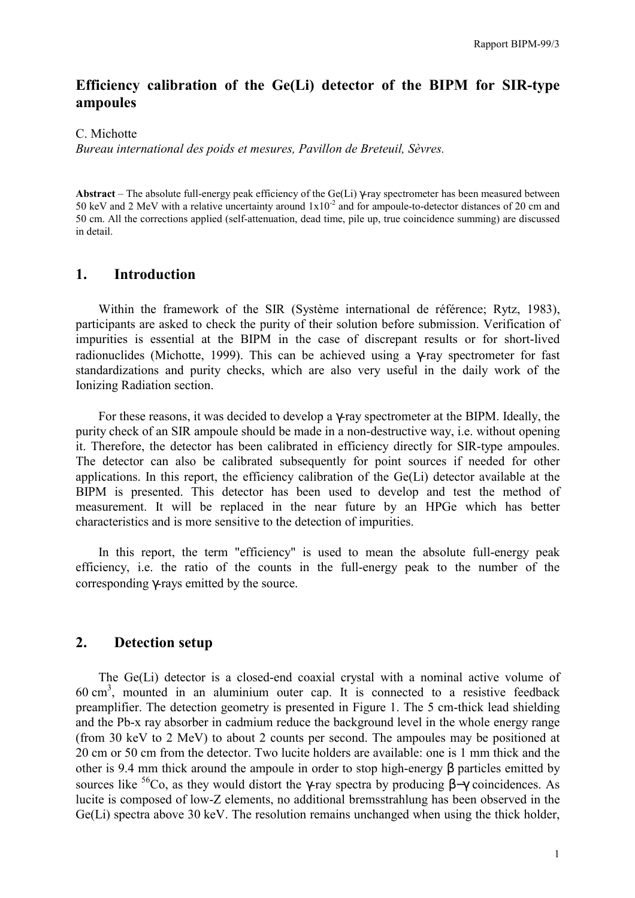# **Efficiency calibration of the Ge(Li) detector of the BIPM for SIR-type ampoules**

C. Michotte

*Bureau international des poids et mesures, Pavillon de Breteuil, SËvres.*

**Abstract** – The absolute full-energy peak efficiency of the Ge(Li) γ-ray spectrometer has been measured between 50 keV and 2 MeV with a relative uncertainty around  $1x10^{-2}$  and for ampoule-to-detector distances of 20 cm and 50 cm. All the corrections applied (self-attenuation, dead time, pile up, true coincidence summing) are discussed in detail.

# **1. Introduction**

Within the framework of the SIR (Système international de référence; Rytz, 1983), participants are asked to check the purity of their solution before submission. Verification of impurities is essential at the BIPM in the case of discrepant results or for short-lived radionuclides (Michotte, 1999). This can be achieved using a γ-ray spectrometer for fast standardizations and purity checks, which are also very useful in the daily work of the Ionizing Radiation section.

For these reasons, it was decided to develop a γ-ray spectrometer at the BIPM. Ideally, the purity check of an SIR ampoule should be made in a non-destructive way, i.e. without opening it. Therefore, the detector has been calibrated in efficiency directly for SIR-type ampoules. The detector can also be calibrated subsequently for point sources if needed for other applications. In this report, the efficiency calibration of the Ge(Li) detector available at the BIPM is presented. This detector has been used to develop and test the method of measurement. It will be replaced in the near future by an HPGe which has better characteristics and is more sensitive to the detection of impurities.

In this report, the term "efficiency" is used to mean the absolute full-energy peak efficiency, i.e. the ratio of the counts in the full-energy peak to the number of the corresponding γ-rays emitted by the source.

# **2. Detection setup**

The Ge(Li) detector is a closed-end coaxial crystal with a nominal active volume of  $60 \text{ cm}^3$ , mounted in an aluminium outer cap. It is connected to a resistive feedback preamplifier. The detection geometry is presented in Figure 1. The 5 cm-thick lead shielding and the Pb-x ray absorber in cadmium reduce the background level in the whole energy range (from 30 keV to 2 MeV) to about 2 counts per second. The ampoules may be positioned at 20 cm or 50 cm from the detector. Two lucite holders are available: one is 1 mm thick and the other is 9.4 mm thick around the ampoule in order to stop high-energy β particles emitted by sources like <sup>56</sup>Co, as they would distort the γ-ray spectra by producing  $\beta-\gamma$  coincidences. As lucite is composed of low-Z elements, no additional bremsstrahlung has been observed in the Ge(Li) spectra above 30 keV. The resolution remains unchanged when using the thick holder,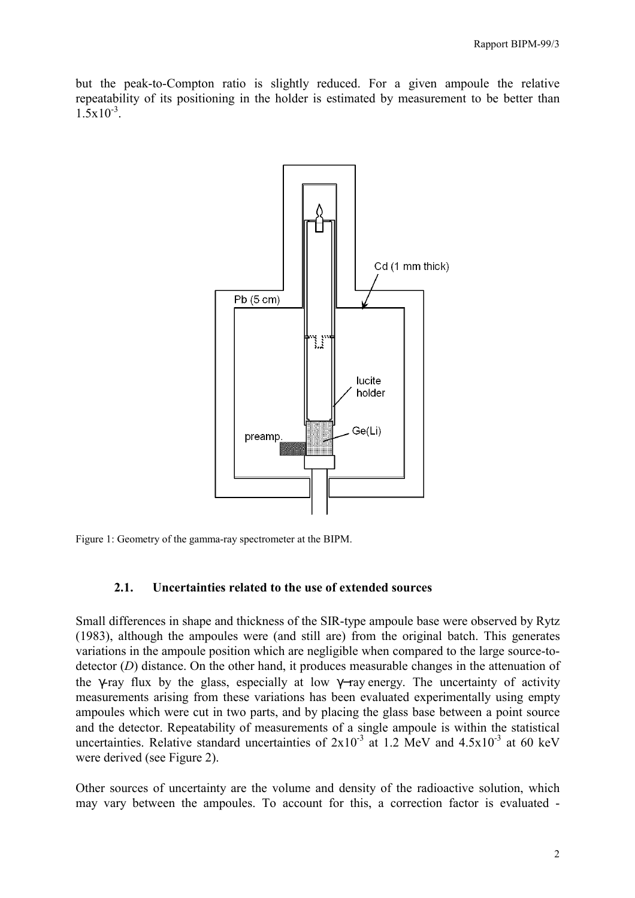but the peak-to-Compton ratio is slightly reduced. For a given ampoule the relative repeatability of its positioning in the holder is estimated by measurement to be better than  $1.5 \times 10^{-3}$ 



Figure 1: Geometry of the gamma-ray spectrometer at the BIPM.

#### **2.1. Uncertainties related to the use of extended sources**

Small differences in shape and thickness of the SIR-type ampoule base were observed by Rytz (1983), although the ampoules were (and still are) from the original batch. This generates variations in the ampoule position which are negligible when compared to the large source-todetector (*D*) distance. On the other hand, it produces measurable changes in the attenuation of the γ-ray flux by the glass, especially at low γ−ray energy. The uncertainty of activity measurements arising from these variations has been evaluated experimentally using empty ampoules which were cut in two parts, and by placing the glass base between a point source and the detector. Repeatability of measurements of a single ampoule is within the statistical uncertainties. Relative standard uncertainties of  $2x10^{-3}$  at 1.2 MeV and  $4.5x10^{-3}$  at 60 keV were derived (see Figure 2).

Other sources of uncertainty are the volume and density of the radioactive solution, which may vary between the ampoules. To account for this, a correction factor is evaluated -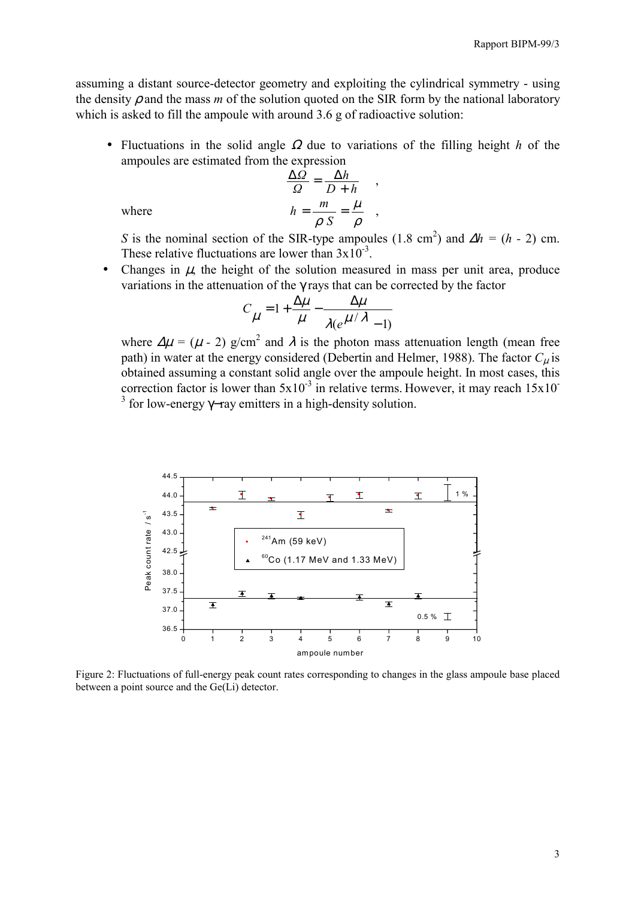assuming a distant source-detector geometry and exploiting the cylindrical symmetry - using the density  $\rho$  and the mass  $m$  of the solution quoted on the SIR form by the national laboratory which is asked to fill the ampoule with around 3.6 g of radioactive solution:

• Fluctuations in the solid angle Ω due to variations of the filling height *h* of the ampoules are estimated from the expression

$$
\frac{\Delta \Omega}{\Omega} = \frac{\Delta h}{D + h} ,
$$

$$
h = \frac{m}{\rho} \frac{\mu}{S} = \frac{\mu}{\rho} ,
$$

where

*S* is the nominal section of the SIR-type ampoules (1.8 cm<sup>2</sup>) and  $\Delta h = (h - 2)$  cm. These relative fluctuations are lower than  $3x10^{-3}$ .

Changes in  $\mu$ , the height of the solution measured in mass per unit area, produce variations in the attenuation of the γ rays that can be corrected by the factor

$$
C_{\mu} = 1 + \frac{\Delta \mu}{\mu} - \frac{\Delta \mu}{\lambda (e^{\mu/\lambda} - 1)}
$$

where  $\Delta \mu = (\mu - 2)$  g/cm<sup>2</sup> and  $\lambda$  is the photon mass attenuation length (mean free path) in water at the energy considered (Debertin and Helmer, 1988). The factor  $C_u$  is obtained assuming a constant solid angle over the ampoule height. In most cases, this correction factor is lower than  $5x10^{-3}$  in relative terms. However, it may reach  $15x10^{-3}$ <sup>3</sup> for low-energy γ–ray emitters in a high-density solution.



Figure 2: Fluctuations of full-energy peak count rates corresponding to changes in the glass ampoule base placed between a point source and the Ge(Li) detector.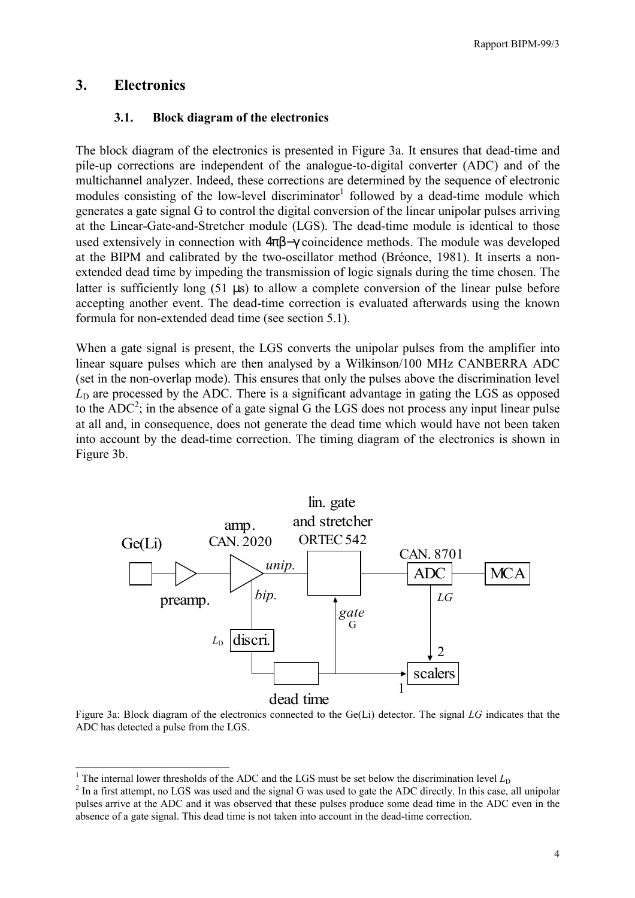Rapport BIPM-99/3

# **3. Electronics**

 $\overline{\phantom{a}}$ 

### **3.1. Block diagram of the electronics**

The block diagram of the electronics is presented in Figure 3a. It ensures that dead-time and pile-up corrections are independent of the analogue-to-digital converter (ADC) and of the multichannel analyzer. Indeed, these corrections are determined by the sequence of electronic modules consisting of the low-level discriminator<sup>1</sup> followed by a dead-time module which generates a gate signal G to control the digital conversion of the linear unipolar pulses arriving at the Linear-Gate-and-Stretcher module (LGS). The dead-time module is identical to those used extensively in connection with  $4\pi\beta-\gamma$  coincidence methods. The module was developed at the BIPM and calibrated by the two-oscillator method (Bréonce, 1981). It inserts a nonextended dead time by impeding the transmission of logic signals during the time chosen. The latter is sufficiently long (51 µs) to allow a complete conversion of the linear pulse before accepting another event. The dead-time correction is evaluated afterwards using the known formula for non-extended dead time (see section 5.1).

When a gate signal is present, the LGS converts the unipolar pulses from the amplifier into linear square pulses which are then analysed by a Wilkinson/100 MHz CANBERRA ADC (set in the non-overlap mode). This ensures that only the pulses above the discrimination level  $L<sub>D</sub>$  are processed by the ADC. There is a significant advantage in gating the LGS as opposed to the  $ADC^2$ ; in the absence of a gate signal G the LGS does not process any input linear pulse at all and, in consequence, does not generate the dead time which would have not been taken into account by the dead-time correction. The timing diagram of the electronics is shown in Figure 3b.



Figure 3a: Block diagram of the electronics connected to the Ge(Li) detector. The signal *LG* indicates that the ADC has detected a pulse from the LGS.

<sup>&</sup>lt;sup>1</sup> The internal lower thresholds of the ADC and the LGS must be set below the discrimination level  $L_D$ <br><sup>2</sup> In a first attempt, no LGS was weed and the signal *C* was weed to sets the ADC directly. In this association

 $<sup>2</sup>$  In a first attempt, no LGS was used and the signal G was used to gate the ADC directly. In this case, all unipolar</sup> pulses arrive at the ADC and it was observed that these pulses produce some dead time in the ADC even in the absence of a gate signal. This dead time is not taken into account in the dead-time correction.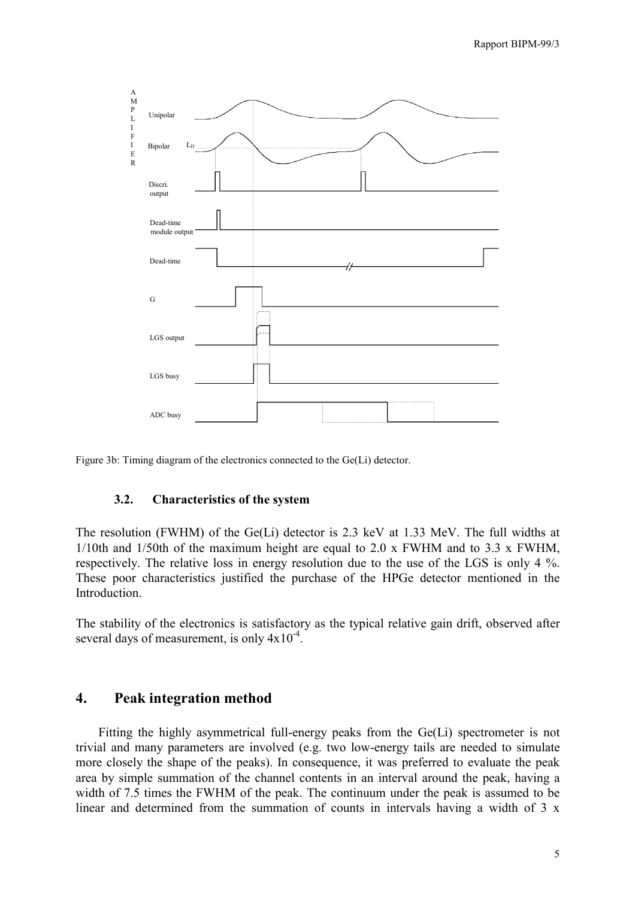



#### **3.2. Characteristics of the system**

The resolution (FWHM) of the Ge(Li) detector is 2.3 keV at 1.33 MeV. The full widths at  $1/10$ th and  $1/50$ th of the maximum height are equal to  $2.0 \times$  FWHM and to  $3.3 \times$  FWHM. respectively. The relative loss in energy resolution due to the use of the LGS is only 4 %. These poor characteristics justified the purchase of the HPGe detector mentioned in the **Introduction** 

The stability of the electronics is satisfactory as the typical relative gain drift, observed after several days of measurement, is only  $4x10^{-4}$ .

### **4. Peak integration method**

Fitting the highly asymmetrical full-energy peaks from the Ge(Li) spectrometer is not trivial and many parameters are involved (e.g. two low-energy tails are needed to simulate more closely the shape of the peaks). In consequence, it was preferred to evaluate the peak area by simple summation of the channel contents in an interval around the peak, having a width of 7.5 times the FWHM of the peak. The continuum under the peak is assumed to be linear and determined from the summation of counts in intervals having a width of 3 x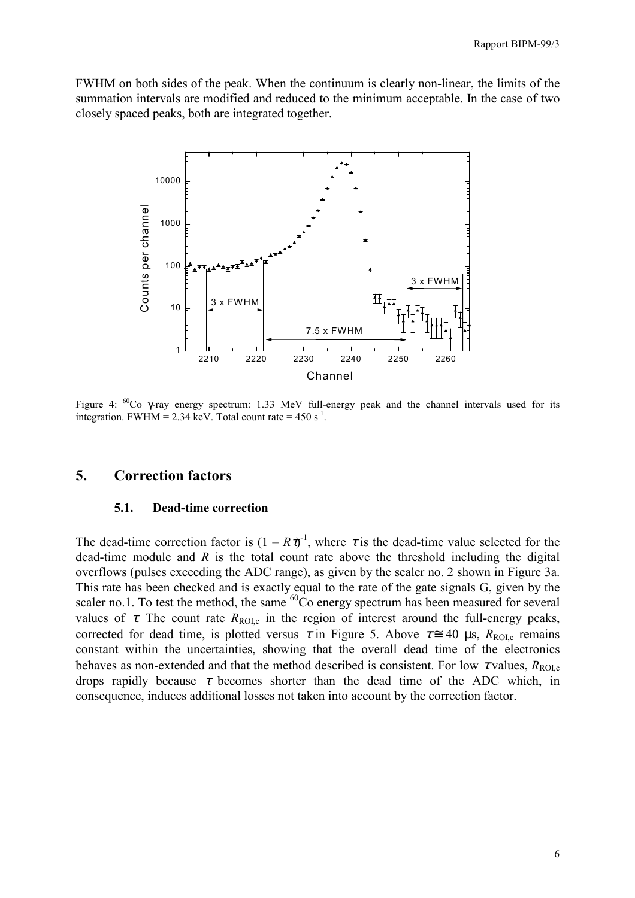FWHM on both sides of the peak. When the continuum is clearly non-linear, the limits of the summation intervals are modified and reduced to the minimum acceptable. In the case of two closely spaced peaks, both are integrated together.



Figure 4:  ${}^{60}$ Co  $\gamma$ -ray energy spectrum: 1.33 MeV full-energy peak and the channel intervals used for its integration. FWHM = 2.34 keV. Total count rate =  $450 \text{ s}^{-1}$ .

### **5. Correction factors**

#### **5.1. Dead-time correction**

The dead-time correction factor is  $(1 - R\tau)^{-1}$ , where  $\tau$  is the dead-time value selected for the dead-time module and *R* is the total count rate above the threshold including the digital overflows (pulses exceeding the ADC range), as given by the scaler no. 2 shown in Figure 3a. This rate has been checked and is exactly equal to the rate of the gate signals G, given by the scaler no.1. To test the method, the same  ${}^{60}Co$  energy spectrum has been measured for several values of  $\tau$ . The count rate  $R_{\text{ROI,c}}$  in the region of interest around the full-energy peaks, corrected for dead time, is plotted versus  $\tau$  in Figure 5. Above  $\tau \approx 40 \text{ }\mu\text{s}, R_{\text{ROLc}}$  remains constant within the uncertainties, showing that the overall dead time of the electronics behaves as non-extended and that the method described is consistent. For low  $\tau$  values,  $R_{\text{ROLc}}$ drops rapidly because  $\tau$  becomes shorter than the dead time of the ADC which, in consequence, induces additional losses not taken into account by the correction factor.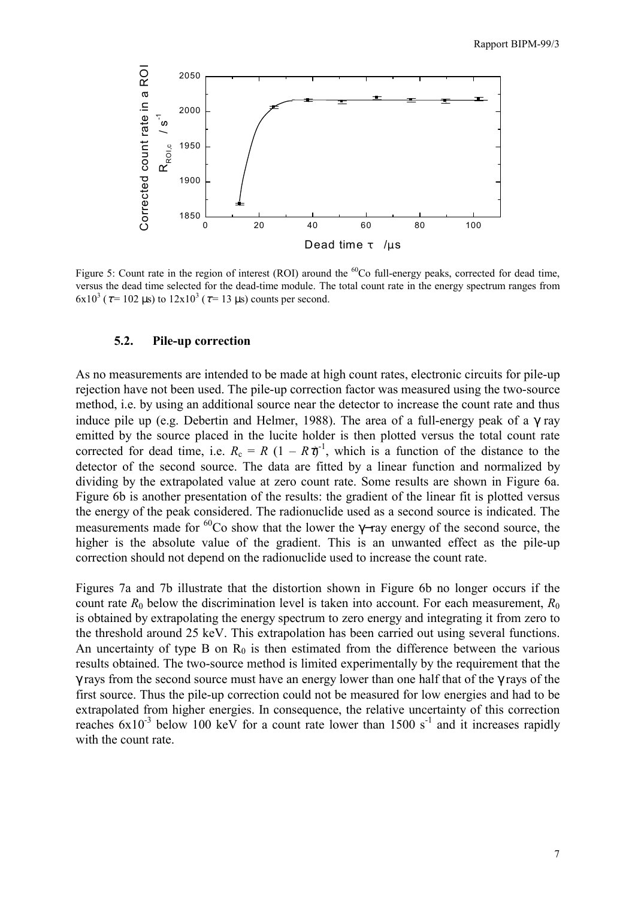

Figure 5: Count rate in the region of interest (ROI) around the  ${}^{60}$ Co full-energy peaks, corrected for dead time, versus the dead time selected for the dead-time module. The total count rate in the energy spectrum ranges from 6x10<sup>3</sup> ( $\tau$ = 102 µs) to 12x10<sup>3</sup> ( $\tau$ = 13 µs) counts per second.

#### **5.2. Pile-up correction**

As no measurements are intended to be made at high count rates, electronic circuits for pile-up rejection have not been used. The pile-up correction factor was measured using the two-source method, i.e. by using an additional source near the detector to increase the count rate and thus induce pile up (e.g. Debertin and Helmer, 1988). The area of a full-energy peak of a  $\gamma$  ray emitted by the source placed in the lucite holder is then plotted versus the total count rate corrected for dead time, i.e.  $R_c = R (1 - R\tau)^{-1}$ , which is a function of the distance to the detector of the second source. The data are fitted by a linear function and normalized by dividing by the extrapolated value at zero count rate. Some results are shown in Figure 6a. Figure 6b is another presentation of the results: the gradient of the linear fit is plotted versus the energy of the peak considered. The radionuclide used as a second source is indicated. The measurements made for <sup>60</sup>Co show that the lower the γ–ray energy of the second source, the higher is the absolute value of the gradient. This is an unwanted effect as the pile-up correction should not depend on the radionuclide used to increase the count rate.

Figures 7a and 7b illustrate that the distortion shown in Figure 6b no longer occurs if the count rate  $R_0$  below the discrimination level is taken into account. For each measurement,  $R_0$ is obtained by extrapolating the energy spectrum to zero energy and integrating it from zero to the threshold around 25 keV. This extrapolation has been carried out using several functions. An uncertainty of type B on  $R_0$  is then estimated from the difference between the various results obtained. The two-source method is limited experimentally by the requirement that the γ rays from the second source must have an energy lower than one half that of the γ rays of the first source. Thus the pile-up correction could not be measured for low energies and had to be extrapolated from higher energies. In consequence, the relative uncertainty of this correction reaches  $6x10^{-3}$  below 100 keV for a count rate lower than 1500 s<sup>-1</sup> and it increases rapidly with the count rate.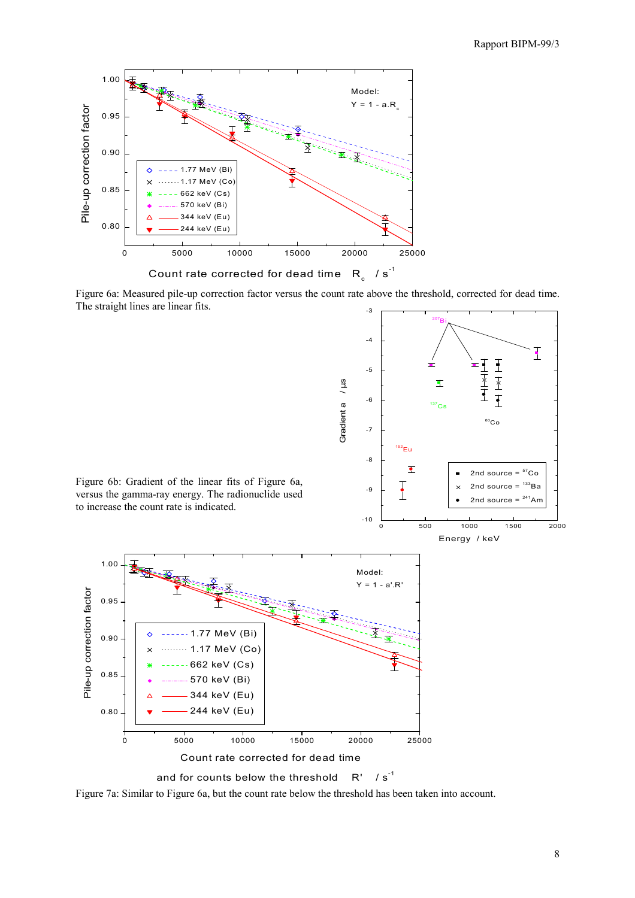

Count rate corrected for dead time  $\,$  R $_{\mathrm{c}}$   $\,$  / s $^{\textrm{-1}}$ 

Figure 6a: Measured pile-up correction factor versus the count rate above the threshold, corrected for dead time. The straight lines are linear fits. -3



Figure 7a: Similar to Figure 6a, but the count rate below the threshold has been taken into account.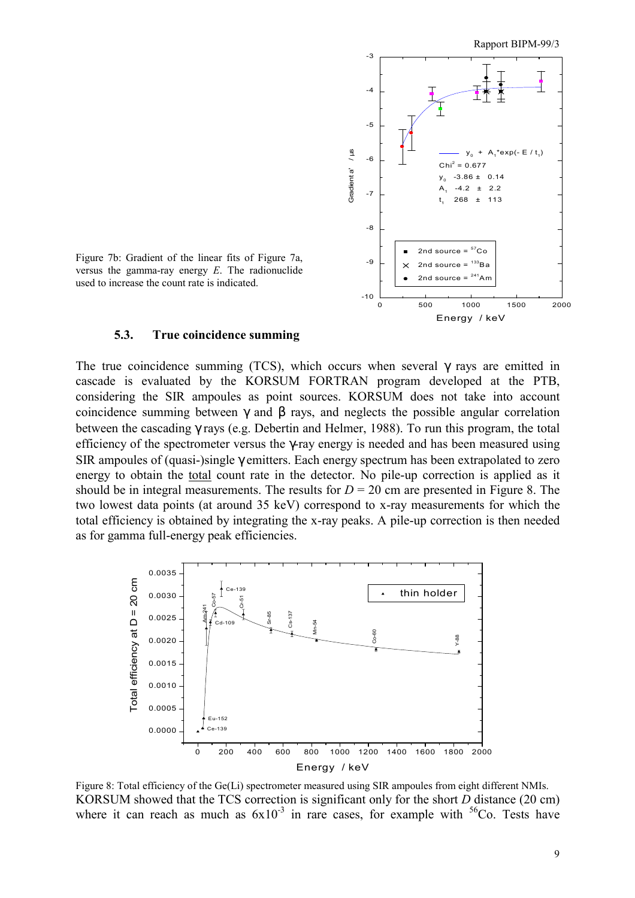

Figure 7b: Gradient of the linear fits of Figure 7a, versus the gamma-ray energy *E*. The radionuclide used to increase the count rate is indicated.

#### **5.3. True coincidence summing**

The true coincidence summing (TCS), which occurs when several  $\gamma$  rays are emitted in cascade is evaluated by the KORSUM FORTRAN program developed at the PTB, considering the SIR ampoules as point sources. KORSUM does not take into account coincidence summing between γ and β rays, and neglects the possible angular correlation between the cascading γ rays (e.g. Debertin and Helmer, 1988). To run this program, the total efficiency of the spectrometer versus the γ-ray energy is needed and has been measured using SIR ampoules of (quasi-)single γ emitters. Each energy spectrum has been extrapolated to zero energy to obtain the total count rate in the detector. No pile-up correction is applied as it should be in integral measurements. The results for  $D = 20$  cm are presented in Figure 8. The two lowest data points (at around 35 keV) correspond to x-ray measurements for which the total efficiency is obtained by integrating the x-ray peaks. A pile-up correction is then needed as for gamma full-energy peak efficiencies.



Figure 8: Total efficiency of the Ge(Li) spectrometer measured using SIR ampoules from eight different NMIs. KORSUM showed that the TCS correction is significant only for the short *D* distance (20 cm) where it can reach as much as  $6x10^{-3}$  in rare cases, for example with  $56C_0$ . Tests have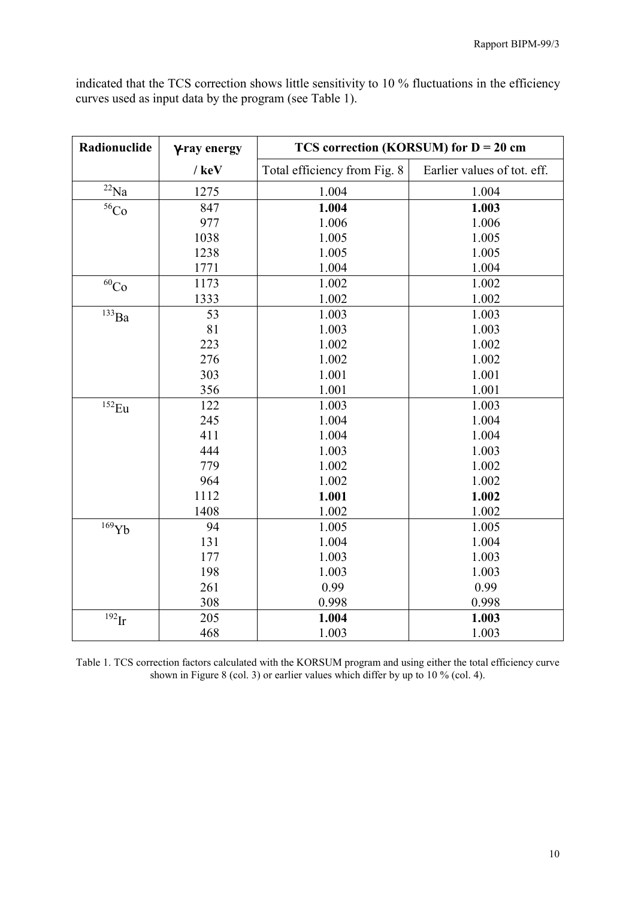indicated that the TCS correction shows little sensitivity to 10 % fluctuations in the efficiency curves used as input data by the program (see Table 1).

| Radionuclide           | γ-ray energy | TCS correction (KORSUM) for $D = 20$ cm |                             |
|------------------------|--------------|-----------------------------------------|-----------------------------|
|                        | $/$ keV      | Total efficiency from Fig. 8            | Earlier values of tot. eff. |
| $^{22}$ Na             | 1275         | 1.004                                   | 1.004                       |
| $56$ Co                | 847          | 1.004                                   | 1.003                       |
|                        | 977          | 1.006                                   | 1.006                       |
|                        | 1038         | 1.005                                   | 1.005                       |
|                        | 1238         | 1.005                                   | 1.005                       |
|                        | 1771         | 1.004                                   | 1.004                       |
| $\overline{60}$ Co     | 1173         | 1.002                                   | 1.002                       |
|                        | 1333         | 1.002                                   | 1.002                       |
| $^{133}\text{Ba}$      | 53           | 1.003                                   | 1.003                       |
|                        | 81           | 1.003                                   | 1.003                       |
|                        | 223          | 1.002                                   | 1.002                       |
|                        | 276          | 1.002                                   | 1.002                       |
|                        | 303          | 1.001                                   | 1.001                       |
|                        | 356          | 1.001                                   | 1.001                       |
| $152$ Eu               | 122          | 1.003                                   | 1.003                       |
|                        | 245          | 1.004                                   | 1.004                       |
|                        | 411          | 1.004                                   | 1.004                       |
|                        | 444          | 1.003                                   | 1.003                       |
|                        | 779          | 1.002                                   | 1.002                       |
|                        | 964          | 1.002                                   | 1.002                       |
|                        | 1112         | 1.001                                   | 1.002                       |
|                        | 1408         | 1.002                                   | 1.002                       |
| $\overline{^{169}} Yb$ | 94           | 1.005                                   | 1.005                       |
|                        | 131          | 1.004                                   | 1.004                       |
|                        | 177          | 1.003                                   | 1.003                       |
|                        | 198          | 1.003                                   | 1.003                       |
|                        | 261          | 0.99                                    | 0.99                        |
|                        | 308          | 0.998                                   | 0.998                       |
| $192$ Ir               | 205          | 1.004                                   | 1.003                       |
|                        | 468          | 1.003                                   | 1.003                       |

Table 1. TCS correction factors calculated with the KORSUM program and using either the total efficiency curve shown in Figure 8 (col. 3) or earlier values which differ by up to 10 % (col. 4).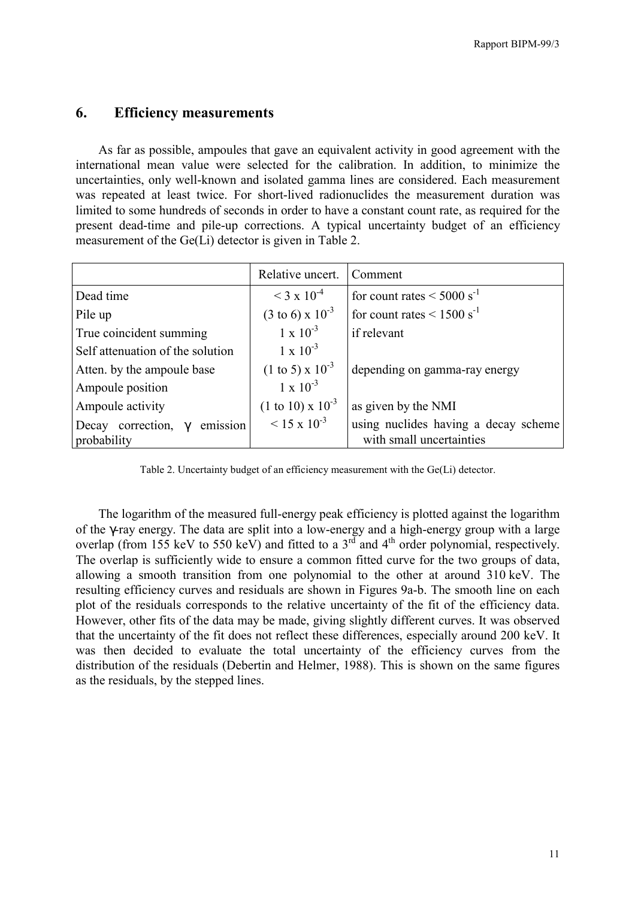## **6. Efficiency measurements**

As far as possible, ampoules that gave an equivalent activity in good agreement with the international mean value were selected for the calibration. In addition, to minimize the uncertainties, only well-known and isolated gamma lines are considered. Each measurement was repeated at least twice. For short-lived radionuclides the measurement duration was limited to some hundreds of seconds in order to have a constant count rate, as required for the present dead-time and pile-up corrections. A typical uncertainty budget of an efficiency measurement of the Ge(Li) detector is given in Table 2.

|                                           | Relative uncert.                    | Comment                                     |
|-------------------------------------------|-------------------------------------|---------------------------------------------|
| Dead time                                 | $<$ 3 x 10 <sup>-4</sup>            | for count rates $\leq 5000$ s <sup>-1</sup> |
| Pile up                                   | $(3 \text{ to } 6) \times 10^{-3}$  | for count rates $\leq 1500$ s <sup>-1</sup> |
| True coincident summing                   | $1 \times 10^{-3}$                  | if relevant                                 |
| Self attenuation of the solution          | $1 \times 10^{-3}$                  |                                             |
| Atten. by the ampoule base                | $(1 \text{ to } 5) \times 10^{-3}$  | depending on gamma-ray energy               |
| Ampoule position                          | $1 \times 10^{-3}$                  |                                             |
| Ampoule activity                          | $(1 \text{ to } 10) \times 10^{-3}$ | as given by the NMI                         |
| emission<br>Decay correction,<br>$\gamma$ | $< 15 \times 10^{-3}$               | using nuclides having a decay scheme        |
| probability                               |                                     | with small uncertainties                    |

Table 2. Uncertainty budget of an efficiency measurement with the Ge(Li) detector.

The logarithm of the measured full-energy peak efficiency is plotted against the logarithm of the γ-ray energy. The data are split into a low-energy and a high-energy group with a large overlap (from 155 keV to 550 keV) and fitted to a  $3<sup>rd</sup>$  and  $4<sup>th</sup>$  order polynomial, respectively. The overlap is sufficiently wide to ensure a common fitted curve for the two groups of data, allowing a smooth transition from one polynomial to the other at around 310 keV. The resulting efficiency curves and residuals are shown in Figures 9a-b. The smooth line on each plot of the residuals corresponds to the relative uncertainty of the fit of the efficiency data. However, other fits of the data may be made, giving slightly different curves. It was observed that the uncertainty of the fit does not reflect these differences, especially around 200 keV. It was then decided to evaluate the total uncertainty of the efficiency curves from the distribution of the residuals (Debertin and Helmer, 1988). This is shown on the same figures as the residuals, by the stepped lines.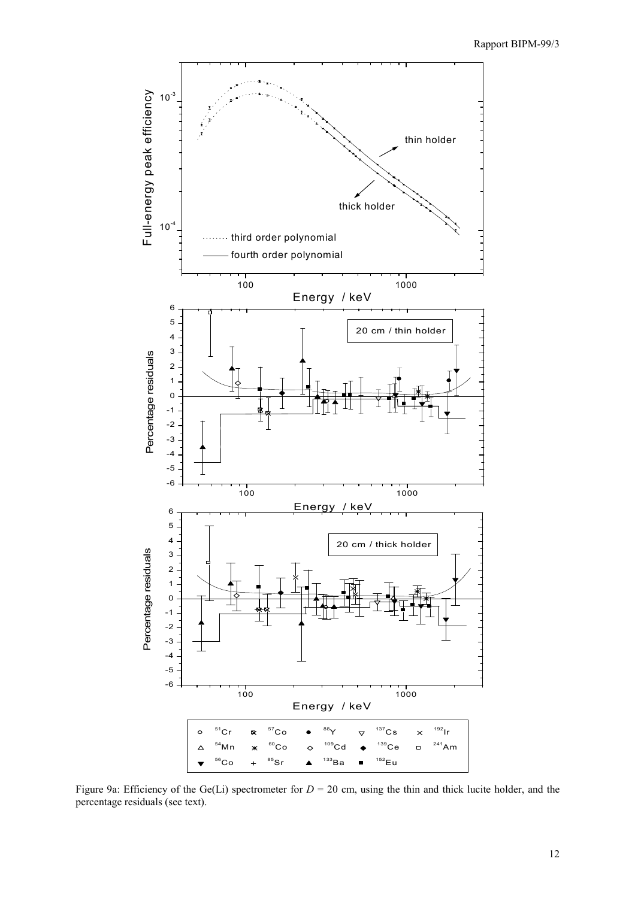

Figure 9a: Efficiency of the Ge(Li) spectrometer for  $D = 20$  cm, using the thin and thick lucite holder, and the percentage residuals (see text).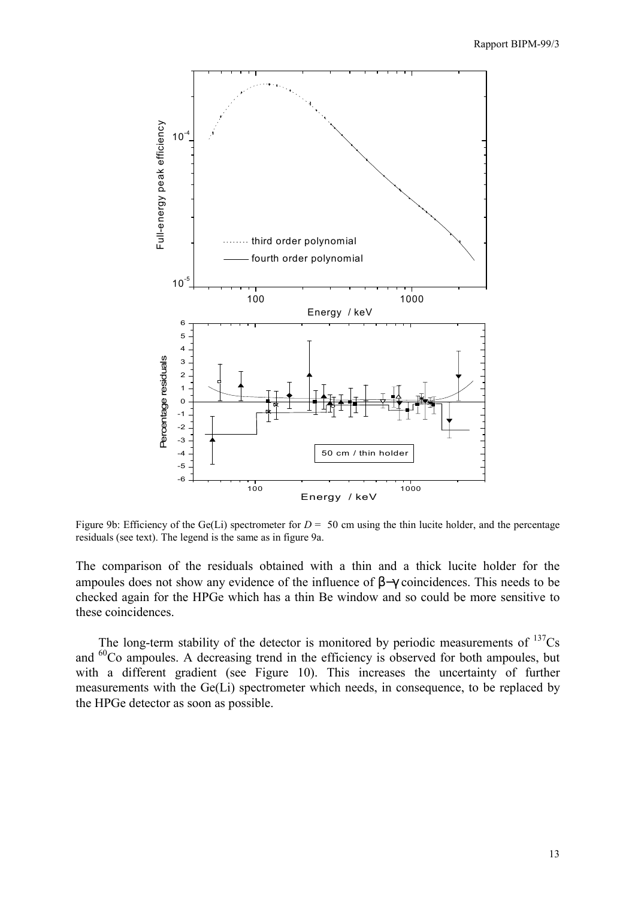

Figure 9b: Efficiency of the Ge(Li) spectrometer for  $D = 50$  cm using the thin lucite holder, and the percentage residuals (see text). The legend is the same as in figure 9a.

The comparison of the residuals obtained with a thin and a thick lucite holder for the ampoules does not show any evidence of the influence of β−γ coincidences. This needs to be checked again for the HPGe which has a thin Be window and so could be more sensitive to these coincidences.

The long-term stability of the detector is monitored by periodic measurements of  $137Cs$ and <sup>60</sup>Co ampoules. A decreasing trend in the efficiency is observed for both ampoules, but with a different gradient (see Figure 10). This increases the uncertainty of further measurements with the Ge(Li) spectrometer which needs, in consequence, to be replaced by the HPGe detector as soon as possible.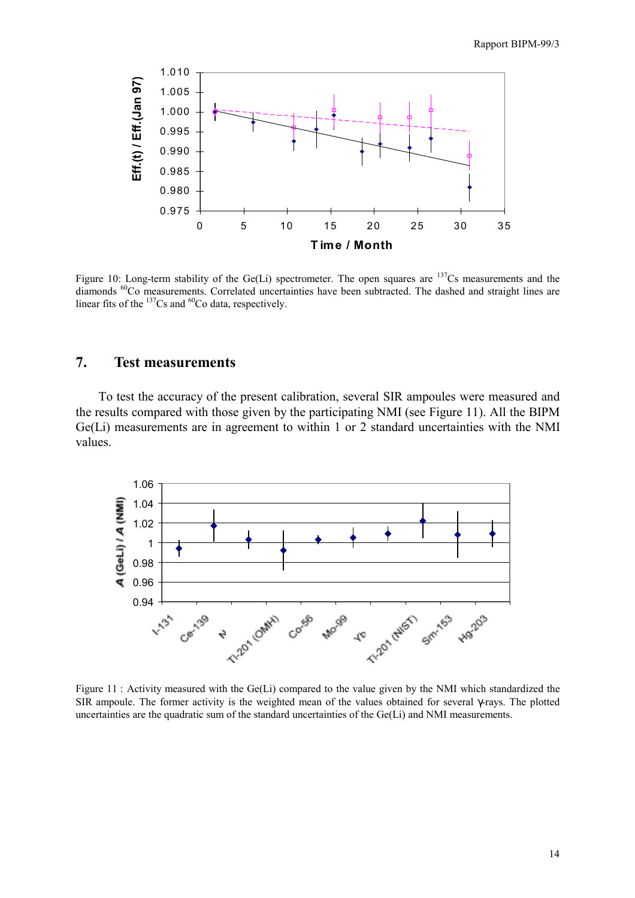

Figure 10: Long-term stability of the Ge(Li) spectrometer. The open squares are  $137Cs$  measurements and the diamonds <sup>60</sup>Co measurements. Correlated uncertainties have been subtracted. The dashed and straight lines are linear fits of the  $^{137}Cs$  and  $^{60}Co$  data, respectively.

# **7. Test measurements**

To test the accuracy of the present calibration, several SIR ampoules were measured and the results compared with those given by the participating NMI (see Figure 11). All the BIPM Ge(Li) measurements are in agreement to within 1 or 2 standard uncertainties with the NMI values.



Figure 11 : Activity measured with the Ge(Li) compared to the value given by the NMI which standardized the SIR ampoule. The former activity is the weighted mean of the values obtained for several γ-rays. The plotted uncertainties are the quadratic sum of the standard uncertainties of the Ge(Li) and NMI measurements.